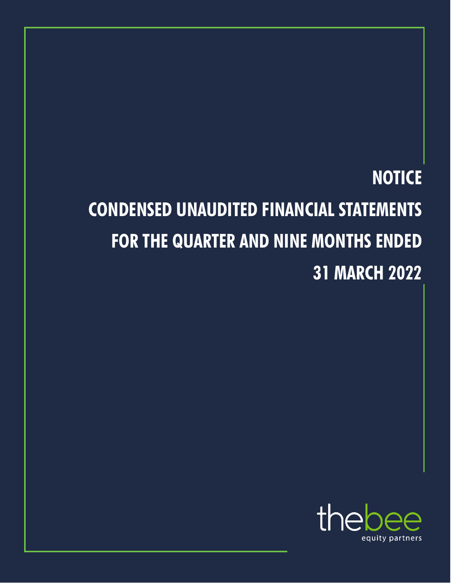## **NOTICE CONDENSED UNAUDITED FINANCIAL STATEMENTS FOR THE QUARTER AND NINE MONTHS ENDED 31 MARCH 2022**